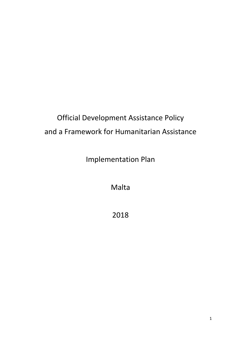# Official Development Assistance Policy and a Framework for Humanitarian Assistance

Implementation Plan

Malta

2018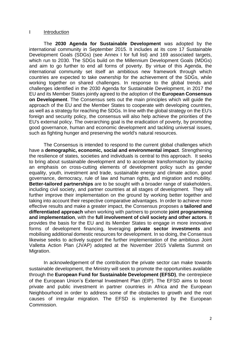#### I Introduction

The **2030 Agenda for Sustainable Development** was adopted by the international community in September 2015. It includes at its core 17 Sustainable Development Goals (SDGs) (see Annex I for full list) and 169 associated targets, which run to 2030. The SDGs build on the Millennium Development Goals (MDGs) and aim to go further to end all forms of poverty. By virtue of this Agenda, the international community set itself an ambitious new framework through which countries are expected to take ownership for the achievement of the SDGs, while working together on shared challenges. In response to the global trends and challenges identified in the 2030 Agenda for Sustainable Development, in 2017 the EU and its Member States jointly agreed to the adoption of the **European Consensus on Development**. The Consensus sets out the main principles which will guide the approach of the EU and the Member States to cooperate with developing countries, as well as a strategy for reaching the SDGs. In line with the global strategy on the EU's foreign and security policy, the consensus will also help achieve the priorities of the EU's external policy. The overarching goal is the eradication of poverty, by promoting good governance, human and economic development and tackling universal issues, such as fighting hunger and preserving the world's natural resources.

The Consensus is intended to respond to the current global challenges which have a **demographic, economic, social and environmental impact**. Strengthening the resilience of states, societies and individuals is central to this approach. It seeks to bring about sustainable development and to accelerate transformation by placing an emphasis on cross-cutting elements of development policy such as gender equality, youth, investment and trade, sustainable energy and climate action, good governance, democracy, rule of law and human rights, and migration and mobility. **Better-tailored partnerships** are to be sought with a broader range of stakeholders, including civil society, and partner countries at all stages of development. They will further improve their implementation on the ground by working better together and taking into account their respective comparative advantages. In order to achieve more effective results and make a greater impact, the Consensus proposes a **tailored and differentiated approach** when working with partners to promote **joint programming and implementation**, with the **full involvement of civil society and other actors**. It provides the basis for the EU and its Member States to engage in more innovative forms of development financing, leveraging **private sector investments** and mobilising additional domestic resources for development. In so doing, the Consensus likewise seeks to actively support the further implementation of the ambitious Joint Valletta Action Plan (JVAP) adopted at the November 2015 Valletta Summit on Migration.

In acknowledgement of the contribution the private sector can make towards sustainable development, the Ministry will seek to promote the opportunities available through the **European Fund for Sustainable Development (EFSD)**, the centrepiece of the European Union's External Investment Plan (EIP). The EFSD aims to boost private and public investment in partner countries in Africa and the European Neighbourhood in order to address some of the obstacles to growth and the root causes of irregular migration. The EFSD is implemented by the European Commission.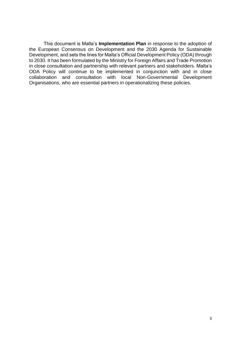This document is Malta's **Implementation Plan** in response to the adoption of the European Consensus on Development and the 2030 Agenda for Sustainable Development, and sets the lines for Malta's Official Development Policy (ODA) through to 2030. It has been formulated by the Ministry for Foreign Affairs and Trade Promotion in close consultation and partnership with relevant partners and stakeholders. Malta's ODA Policy will continue to be implemented in conjunction with and in close collaboration and consultation with local Non-Governmental Development Organisations, who are essential partners in operationalizing these policies.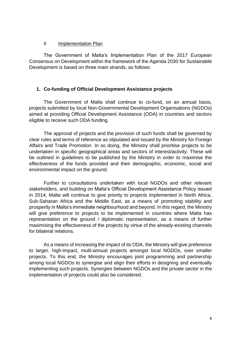#### II Implementation Plan

The Government of Malta's Implementation Plan of the 2017 European Consensus on Development within the framework of the Agenda 2030 for Sustainable Development is based on three main strands, as follows:

## **1. Co-funding of Official Development Assistance projects**

The Government of Malta shall continue to co-fund, on an annual basis, projects submitted by local Non-Governmental Development Organisations (NGDOs) aimed at providing Official Development Assistance (ODA) in countries and sectors eligible to receive such ODA funding.

The approval of projects and the provision of such funds shall be governed by clear rules and terms of reference as stipulated and issued by the Ministry for Foreign Affairs and Trade Promotion. In so doing, the Ministry shall prioritise projects to be undertaken in specific geographical areas and sectors of interest/activity. These will be outlined in guidelines to be published by the Ministry in order to maximise the effectiveness of the funds provided and their demographic, economic, social and environmental impact on the ground.

Further to consultations undertaken with local NGDOs and other relevant stakeholders, and building on Malta's Official Development Assistance Policy issued in 2014, Malta will continue to give priority to projects implemented in North Africa, Sub-Saharan Africa and the Middle East, as a means of promoting stability and prosperity in Malta's immediate neighbourhood and beyond. In this regard, the Ministry will give preference to projects to be implemented in countries where Malta has representation on the ground / diplomatic representation, as a means of further maximising the effectiveness of the projects by virtue of the already-existing channels for bilateral relations.

As a means of increasing the impact of its ODA, the Ministry will give preference to larger, high-impact, multi-annual projects amongst local NGDOs, over smaller projects. To this end, the Ministry encourages joint programming and partnership among local NGDOs to synergise and align their efforts in designing and eventually implementing such projects. Synergies between NGDOs and the private sector in the implementation of projects could also be considered.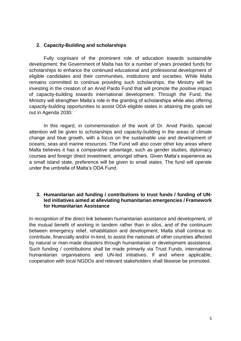# **2. Capacity-Building and scholarships**

Fully cognisant of the prominent role of education towards sustainable development, the Government of Malta has for a number of years provided funds for scholarships to enhance the continued educational and professional development of eligible candidates and their communities, institutions and societies. While Malta remains committed to continue providing such scholarships, the Ministry will be investing in the creation of an Arvid Pardo Fund that will promote the positive impact of capacity-building towards international development. Through the Fund, the Ministry will strengthen Malta's role in the granting of scholarships while also offering capacity-building opportunities to assist ODA eligible states in attaining the goals set out in Agenda 2030.

In this regard, in commemoration of the work of Dr. Arvid Pardo, special attention will be given to scholarships and capacity-building in the areas of climate change and blue growth, with a focus on the sustainable use and development of oceans, seas and marine resources. The Fund will also cover other key areas where Malta believes it has a comparative advantage, such as gender studies, diplomacy courses and foreign direct investment, amongst others. Given Malta's experience as a small island state, preference will be given to small states. The fund will operate under the umbrella of Malta's ODA Fund.

### **3. Humanitarian aid funding / contributions to trust funds / funding of UNled initiatives aimed at alleviating humanitarian emergencies / Framework for Humanitarian Assistance**

In recognition of the direct link between humanitarian assistance and development, of the mutual benefit of working in tandem rather than in silos, and of the continuum between emergency relief, rehabilitation and development, Malta shall continue to contribute, financially and/or in-kind, to assist the nationals of other countries affected by natural or man-made disasters through humanitarian or development assistance. Such funding / contributions shall be made primarily via Trust Funds, international humanitarian organisations and UN-led initiatives. If and where applicable, cooperation with local NGDOs and relevant stakeholders shall likewise be promoted.